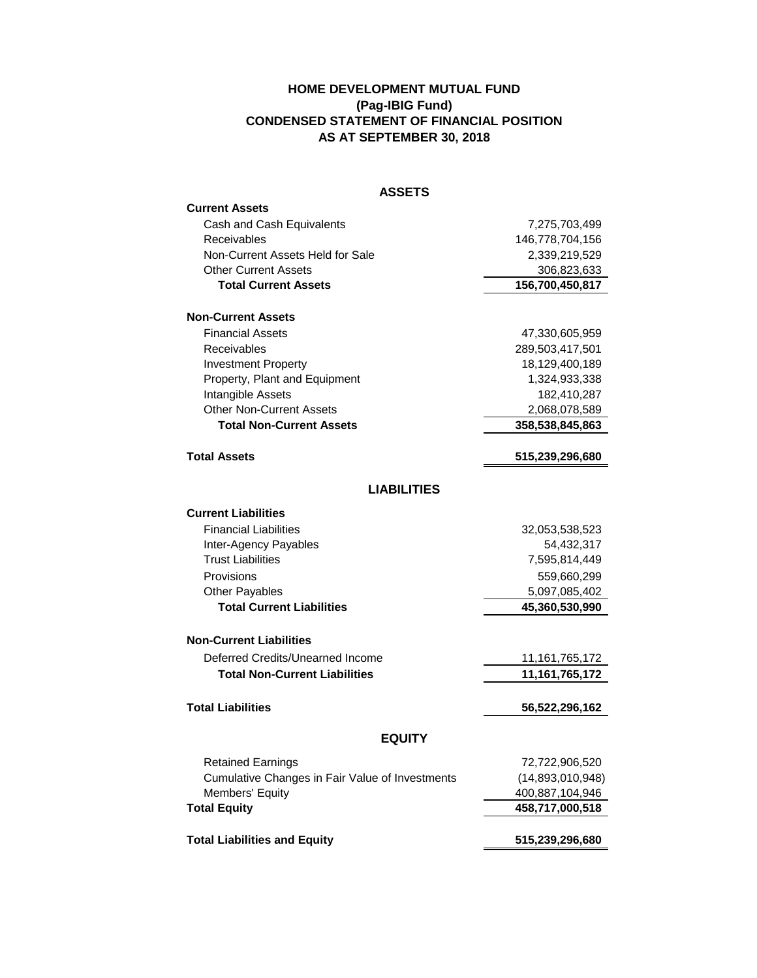## **HOME DEVELOPMENT MUTUAL FUND (Pag-IBIG Fund) CONDENSED STATEMENT OF FINANCIAL POSITION AS AT SEPTEMBER 30, 2018**

| <b>ASSETS</b>                                   |                   |
|-------------------------------------------------|-------------------|
| <b>Current Assets</b>                           |                   |
| Cash and Cash Equivalents                       | 7,275,703,499     |
| Receivables                                     | 146,778,704,156   |
| Non-Current Assets Held for Sale                | 2,339,219,529     |
| <b>Other Current Assets</b>                     | 306,823,633       |
| <b>Total Current Assets</b>                     | 156,700,450,817   |
| <b>Non-Current Assets</b>                       |                   |
| <b>Financial Assets</b>                         | 47,330,605,959    |
| Receivables                                     | 289,503,417,501   |
| <b>Investment Property</b>                      | 18,129,400,189    |
| Property, Plant and Equipment                   | 1,324,933,338     |
| Intangible Assets                               | 182,410,287       |
| <b>Other Non-Current Assets</b>                 | 2,068,078,589     |
| <b>Total Non-Current Assets</b>                 | 358,538,845,863   |
|                                                 |                   |
| <b>Total Assets</b>                             | 515,239,296,680   |
| <b>LIABILITIES</b>                              |                   |
|                                                 |                   |
| <b>Current Liabilities</b>                      |                   |
| <b>Financial Liabilities</b>                    | 32,053,538,523    |
| Inter-Agency Payables                           | 54,432,317        |
| <b>Trust Liabilities</b>                        | 7,595,814,449     |
| Provisions                                      | 559,660,299       |
| <b>Other Payables</b>                           | 5,097,085,402     |
| <b>Total Current Liabilities</b>                | 45,360,530,990    |
| Non-Current Liabilities                         |                   |
| Deferred Credits/Unearned Income                | 11,161,765,172    |
| <b>Total Non-Current Liabilities</b>            | 11, 161, 765, 172 |
|                                                 |                   |
| <b>Total Liabilities</b>                        | 56,522,296,162    |
| <b>EQUITY</b>                                   |                   |
| <b>Retained Earnings</b>                        | 72,722,906,520    |
| Cumulative Changes in Fair Value of Investments | (14,893,010,948)  |
| Members' Equity                                 | 400,887,104,946   |
| <b>Total Equity</b>                             | 458,717,000,518   |
|                                                 |                   |
| <b>Total Liabilities and Equity</b>             | 515,239,296,680   |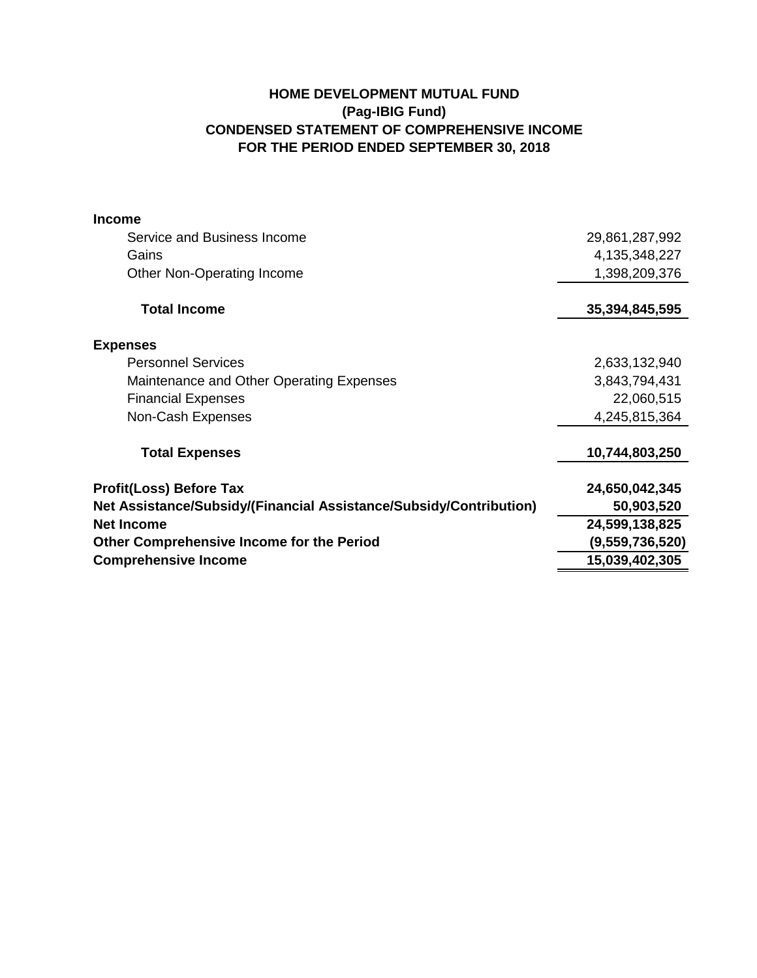## **HOME DEVELOPMENT MUTUAL FUND (Pag-IBIG Fund) CONDENSED STATEMENT OF COMPREHENSIVE INCOME FOR THE PERIOD ENDED SEPTEMBER 30, 2018**

| <b>Income</b>                                                      |                 |
|--------------------------------------------------------------------|-----------------|
| Service and Business Income                                        | 29,861,287,992  |
| Gains                                                              | 4,135,348,227   |
| Other Non-Operating Income                                         | 1,398,209,376   |
| <b>Total Income</b>                                                | 35,394,845,595  |
| <b>Expenses</b>                                                    |                 |
| <b>Personnel Services</b>                                          | 2,633,132,940   |
| Maintenance and Other Operating Expenses                           | 3,843,794,431   |
| <b>Financial Expenses</b>                                          | 22,060,515      |
| Non-Cash Expenses                                                  | 4,245,815,364   |
| <b>Total Expenses</b>                                              | 10,744,803,250  |
| <b>Profit(Loss) Before Tax</b>                                     | 24,650,042,345  |
| Net Assistance/Subsidy/(Financial Assistance/Subsidy/Contribution) | 50,903,520      |
| <b>Net Income</b>                                                  | 24,599,138,825  |
| <b>Other Comprehensive Income for the Period</b>                   | (9,559,736,520) |
| <b>Comprehensive Income</b>                                        | 15,039,402,305  |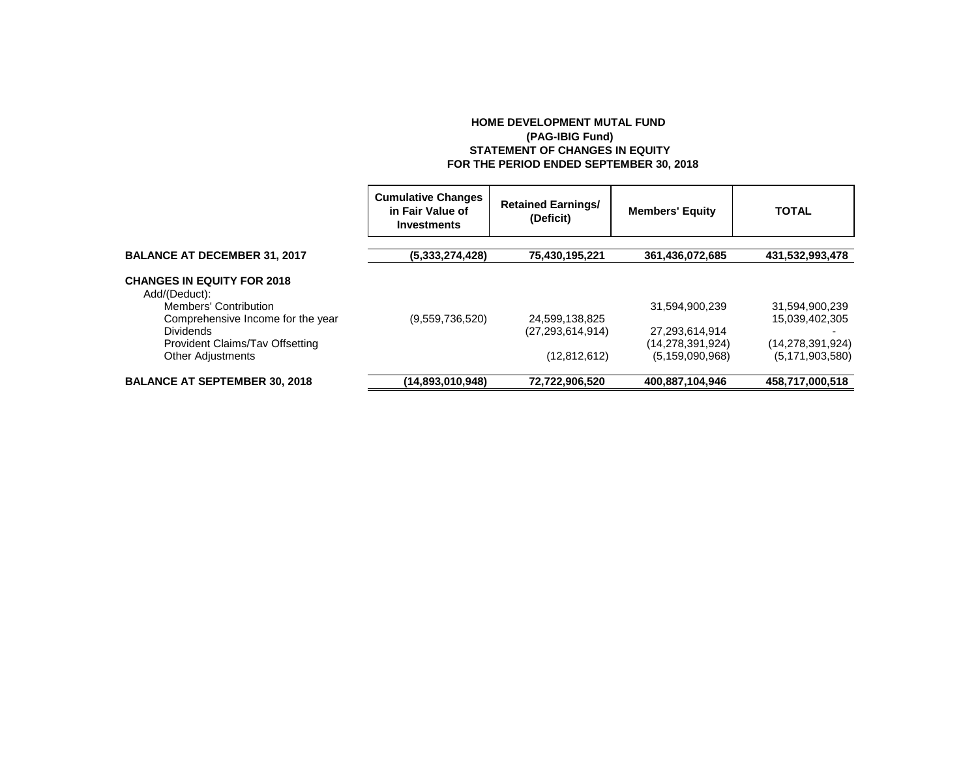## **HOME DEVELOPMENT MUTAL FUND (PAG-IBIG Fund) STATEMENT OF CHANGES IN EQUITY FOR THE PERIOD ENDED SEPTEMBER 30, 2018**

|                                                            | <b>Cumulative Changes</b><br>in Fair Value of<br>Investments | <b>Retained Earnings/</b><br>(Deficit) | <b>Members' Equity</b>             | <b>TOTAL</b>                     |
|------------------------------------------------------------|--------------------------------------------------------------|----------------------------------------|------------------------------------|----------------------------------|
| <b>BALANCE AT DECEMBER 31, 2017</b>                        | (5,333,274,428)                                              | 75,430,195,221                         | 361,436,072,685                    | 431,532,993,478                  |
| <b>CHANGES IN EQUITY FOR 2018</b><br>Add/(Deduct):         |                                                              |                                        |                                    |                                  |
| Members' Contribution<br>Comprehensive Income for the year | (9.559.736.520)                                              |                                        | 31,594,900,239                     | 31,594,900,239<br>15,039,402,305 |
| <b>Dividends</b><br>Provident Claims/Tav Offsetting        |                                                              | 24,599,138,825<br>(27, 293, 614, 914)  | 27,293,614,914<br>(14,278,391,924) | (14, 278, 391, 924)              |
| <b>Other Adjustments</b>                                   |                                                              | (12, 812, 612)                         | (5, 159, 090, 968)                 | (5, 171, 903, 580)               |
| <b>BALANCE AT SEPTEMBER 30, 2018</b>                       | (14,893,010,948)                                             | 72,722,906,520                         | 400,887,104,946                    | 458,717,000,518                  |